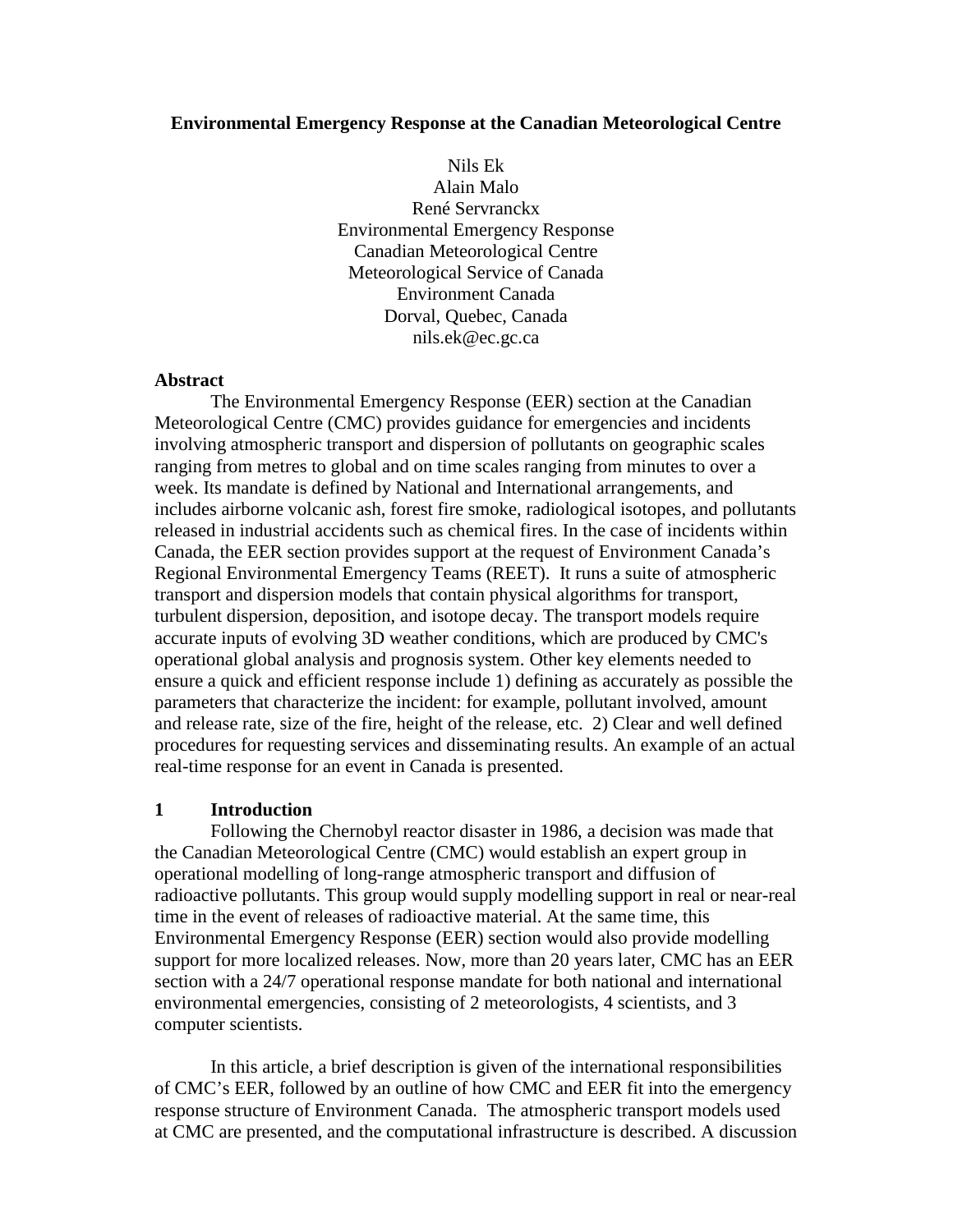#### **Environmental Emergency Response at the Canadian Meteorological Centre**

Nils Ek Alain Malo René Servranckx Environmental Emergency Response Canadian Meteorological Centre Meteorological Service of Canada Environment Canada Dorval, Quebec, Canada nils.ek@ec.gc.ca

#### **Abstract**

The Environmental Emergency Response (EER) section at the Canadian Meteorological Centre (CMC) provides guidance for emergencies and incidents involving atmospheric transport and dispersion of pollutants on geographic scales ranging from metres to global and on time scales ranging from minutes to over a week. Its mandate is defined by National and International arrangements, and includes airborne volcanic ash, forest fire smoke, radiological isotopes, and pollutants released in industrial accidents such as chemical fires. In the case of incidents within Canada, the EER section provides support at the request of Environment Canada's Regional Environmental Emergency Teams (REET). It runs a suite of atmospheric transport and dispersion models that contain physical algorithms for transport, turbulent dispersion, deposition, and isotope decay. The transport models require accurate inputs of evolving 3D weather conditions, which are produced by CMC's operational global analysis and prognosis system. Other key elements needed to ensure a quick and efficient response include 1) defining as accurately as possible the parameters that characterize the incident: for example, pollutant involved, amount and release rate, size of the fire, height of the release, etc. 2) Clear and well defined procedures for requesting services and disseminating results. An example of an actual real-time response for an event in Canada is presented.

#### **1 Introduction**

Following the Chernobyl reactor disaster in 1986, a decision was made that the Canadian Meteorological Centre (CMC) would establish an expert group in operational modelling of long-range atmospheric transport and diffusion of radioactive pollutants. This group would supply modelling support in real or near-real time in the event of releases of radioactive material. At the same time, this Environmental Emergency Response (EER) section would also provide modelling support for more localized releases. Now, more than 20 years later, CMC has an EER section with a 24/7 operational response mandate for both national and international environmental emergencies, consisting of 2 meteorologists, 4 scientists, and 3 computer scientists.

In this article, a brief description is given of the international responsibilities of CMC's EER, followed by an outline of how CMC and EER fit into the emergency response structure of Environment Canada. The atmospheric transport models used at CMC are presented, and the computational infrastructure is described. A discussion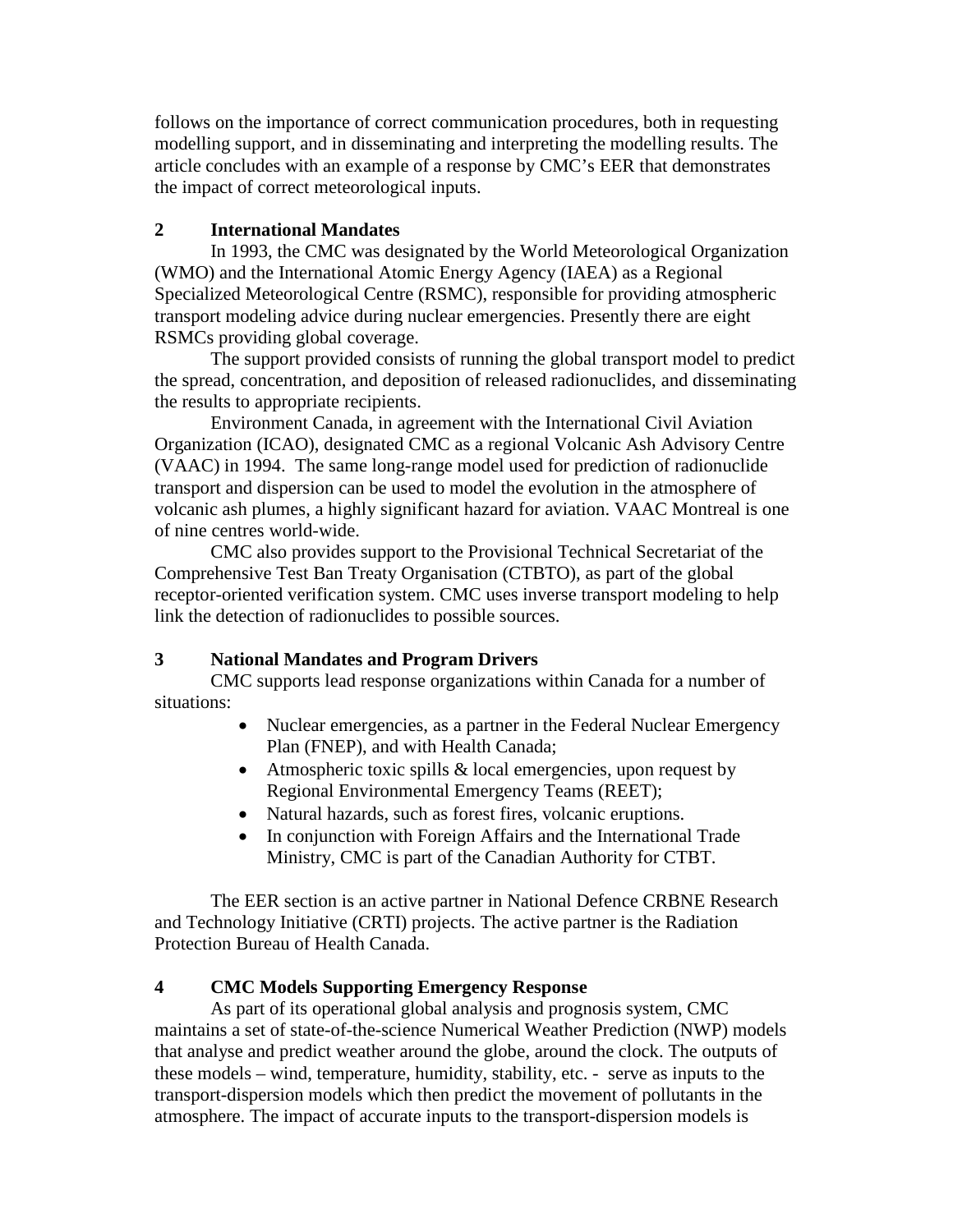follows on the importance of correct communication procedures, both in requesting modelling support, and in disseminating and interpreting the modelling results. The article concludes with an example of a response by CMC's EER that demonstrates the impact of correct meteorological inputs.

# **2 International Mandates**

In 1993, the CMC was designated by the World Meteorological Organization (WMO) and the International Atomic Energy Agency (IAEA) as a Regional Specialized Meteorological Centre (RSMC), responsible for providing atmospheric transport modeling advice during nuclear emergencies. Presently there are eight RSMCs providing global coverage.

The support provided consists of running the global transport model to predict the spread, concentration, and deposition of released radionuclides, and disseminating the results to appropriate recipients.

Environment Canada, in agreement with the International Civil Aviation Organization (ICAO), designated CMC as a regional Volcanic Ash Advisory Centre (VAAC) in 1994. The same long-range model used for prediction of radionuclide transport and dispersion can be used to model the evolution in the atmosphere of volcanic ash plumes, a highly significant hazard for aviation. VAAC Montreal is one of nine centres world-wide.

CMC also provides support to the Provisional Technical Secretariat of the Comprehensive Test Ban Treaty Organisation (CTBTO), as part of the global receptor-oriented verification system. CMC uses inverse transport modeling to help link the detection of radionuclides to possible sources.

#### **3 National Mandates and Program Drivers**

CMC supports lead response organizations within Canada for a number of situations:

- Nuclear emergencies, as a partner in the Federal Nuclear Emergency Plan (FNEP), and with Health Canada;
- Atmospheric toxic spills & local emergencies, upon request by Regional Environmental Emergency Teams (REET);
- Natural hazards, such as forest fires, volcanic eruptions.
- In conjunction with Foreign Affairs and the International Trade Ministry, CMC is part of the Canadian Authority for CTBT.

The EER section is an active partner in National Defence CRBNE Research and Technology Initiative (CRTI) projects. The active partner is the Radiation Protection Bureau of Health Canada.

# **4 CMC Models Supporting Emergency Response**

As part of its operational global analysis and prognosis system, CMC maintains a set of state-of-the-science Numerical Weather Prediction (NWP) models that analyse and predict weather around the globe, around the clock. The outputs of these models – wind, temperature, humidity, stability, etc. - serve as inputs to the transport-dispersion models which then predict the movement of pollutants in the atmosphere. The impact of accurate inputs to the transport-dispersion models is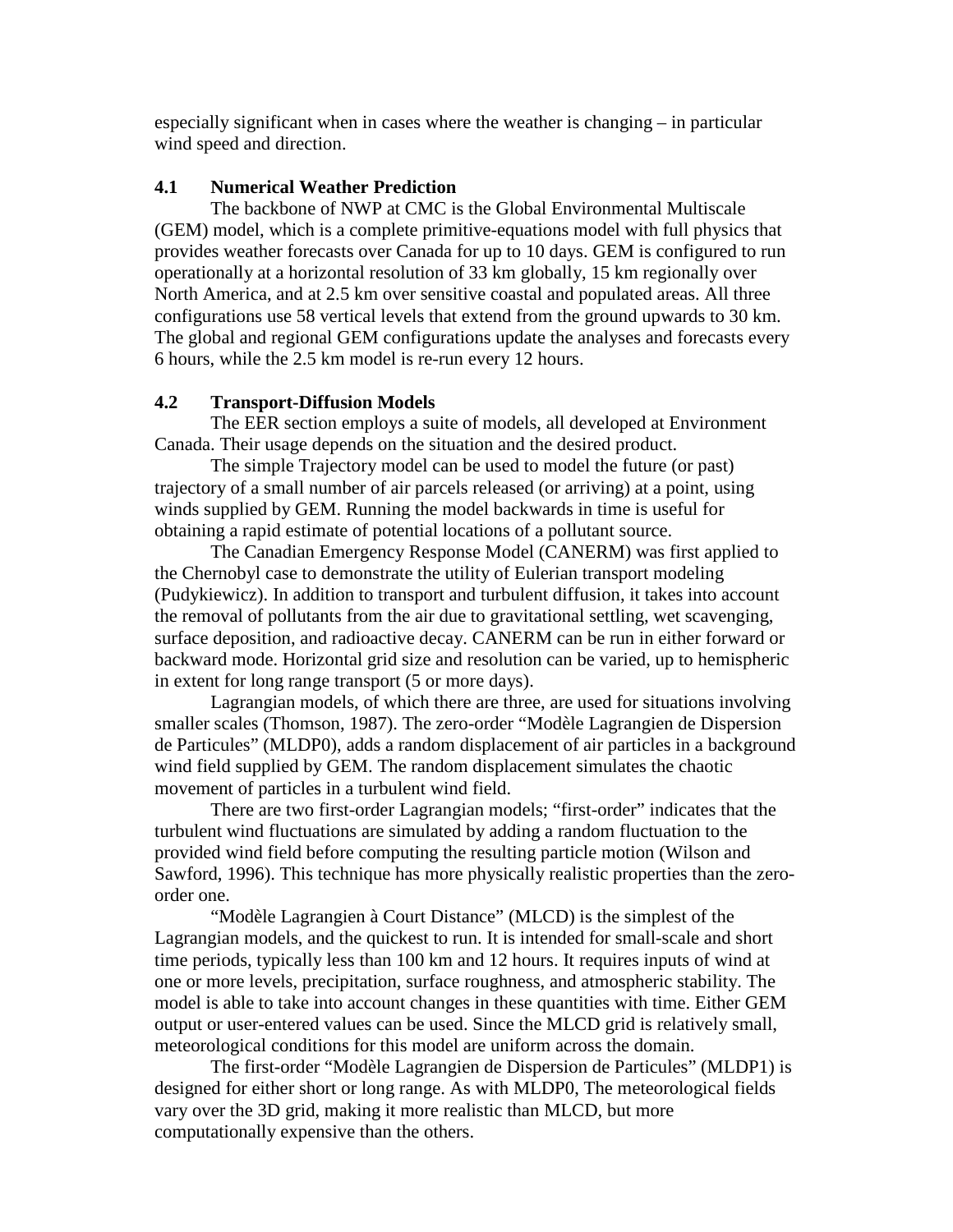especially significant when in cases where the weather is changing – in particular wind speed and direction.

### **4.1 Numerical Weather Prediction**

The backbone of NWP at CMC is the Global Environmental Multiscale (GEM) model, which is a complete primitive-equations model with full physics that provides weather forecasts over Canada for up to 10 days. GEM is configured to run operationally at a horizontal resolution of 33 km globally, 15 km regionally over North America, and at 2.5 km over sensitive coastal and populated areas. All three configurations use 58 vertical levels that extend from the ground upwards to 30 km. The global and regional GEM configurations update the analyses and forecasts every 6 hours, while the 2.5 km model is re-run every 12 hours.

# **4.2 Transport-Diffusion Models**

The EER section employs a suite of models, all developed at Environment Canada. Their usage depends on the situation and the desired product.

The simple Trajectory model can be used to model the future (or past) trajectory of a small number of air parcels released (or arriving) at a point, using winds supplied by GEM. Running the model backwards in time is useful for obtaining a rapid estimate of potential locations of a pollutant source.

The Canadian Emergency Response Model (CANERM) was first applied to the Chernobyl case to demonstrate the utility of Eulerian transport modeling (Pudykiewicz). In addition to transport and turbulent diffusion, it takes into account the removal of pollutants from the air due to gravitational settling, wet scavenging, surface deposition, and radioactive decay. CANERM can be run in either forward or backward mode. Horizontal grid size and resolution can be varied, up to hemispheric in extent for long range transport (5 or more days).

Lagrangian models, of which there are three, are used for situations involving smaller scales (Thomson, 1987). The zero-order "Modèle Lagrangien de Dispersion de Particules" (MLDP0), adds a random displacement of air particles in a background wind field supplied by GEM. The random displacement simulates the chaotic movement of particles in a turbulent wind field.

There are two first-order Lagrangian models; "first-order" indicates that the turbulent wind fluctuations are simulated by adding a random fluctuation to the provided wind field before computing the resulting particle motion (Wilson and Sawford, 1996). This technique has more physically realistic properties than the zeroorder one.

"Modèle Lagrangien à Court Distance" (MLCD) is the simplest of the Lagrangian models, and the quickest to run. It is intended for small-scale and short time periods, typically less than 100 km and 12 hours. It requires inputs of wind at one or more levels, precipitation, surface roughness, and atmospheric stability. The model is able to take into account changes in these quantities with time. Either GEM output or user-entered values can be used. Since the MLCD grid is relatively small, meteorological conditions for this model are uniform across the domain.

The first-order "Modèle Lagrangien de Dispersion de Particules" (MLDP1) is designed for either short or long range. As with MLDP0, The meteorological fields vary over the 3D grid, making it more realistic than MLCD, but more computationally expensive than the others.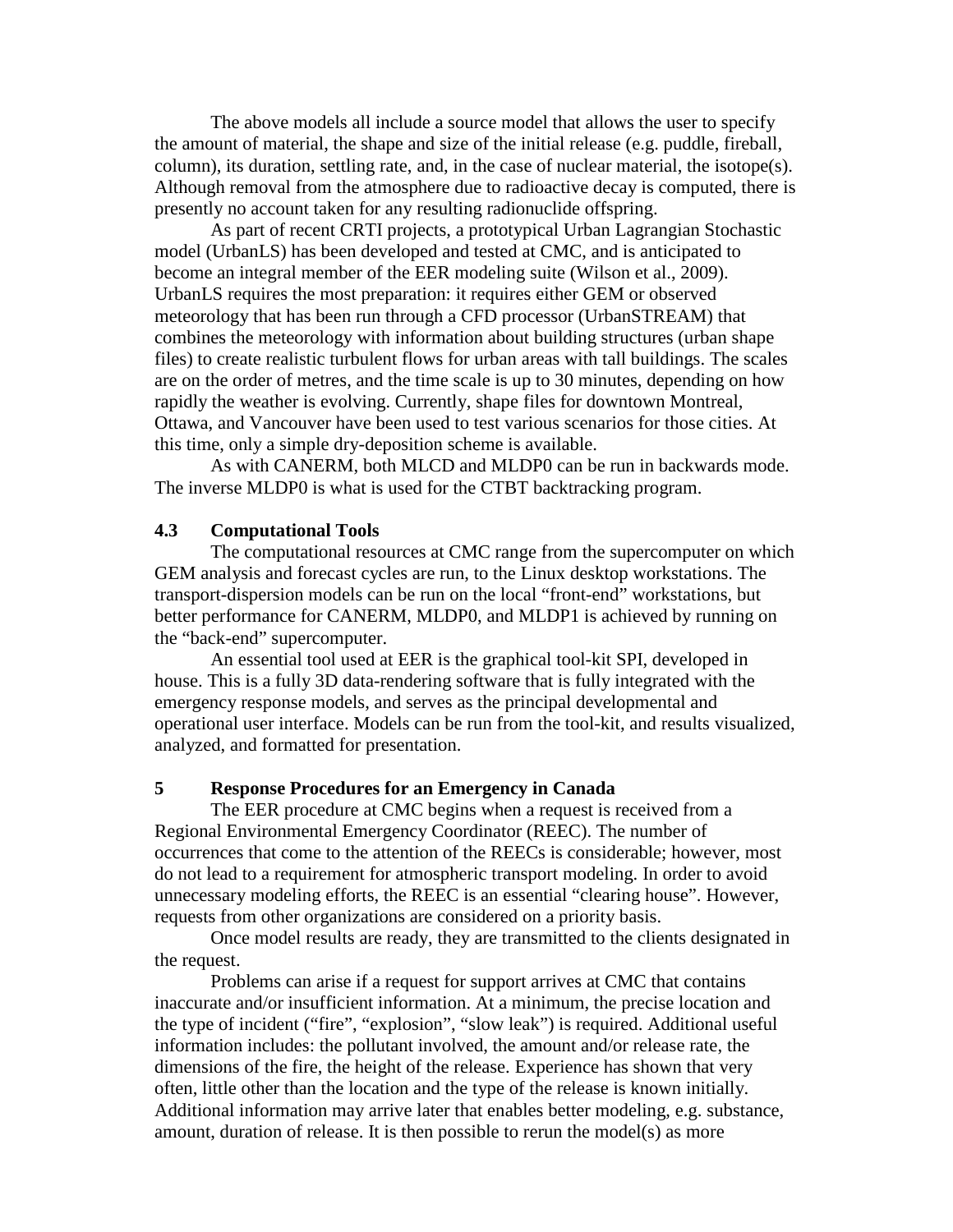The above models all include a source model that allows the user to specify the amount of material, the shape and size of the initial release (e.g. puddle, fireball, column), its duration, settling rate, and, in the case of nuclear material, the isotope(s). Although removal from the atmosphere due to radioactive decay is computed, there is presently no account taken for any resulting radionuclide offspring.

As part of recent CRTI projects, a prototypical Urban Lagrangian Stochastic model (UrbanLS) has been developed and tested at CMC, and is anticipated to become an integral member of the EER modeling suite (Wilson et al., 2009). UrbanLS requires the most preparation: it requires either GEM or observed meteorology that has been run through a CFD processor (UrbanSTREAM) that combines the meteorology with information about building structures (urban shape files) to create realistic turbulent flows for urban areas with tall buildings. The scales are on the order of metres, and the time scale is up to 30 minutes, depending on how rapidly the weather is evolving. Currently, shape files for downtown Montreal, Ottawa, and Vancouver have been used to test various scenarios for those cities. At this time, only a simple dry-deposition scheme is available.

As with CANERM, both MLCD and MLDP0 can be run in backwards mode. The inverse MLDP0 is what is used for the CTBT backtracking program.

#### **4.3 Computational Tools**

The computational resources at CMC range from the supercomputer on which GEM analysis and forecast cycles are run, to the Linux desktop workstations. The transport-dispersion models can be run on the local "front-end" workstations, but better performance for CANERM, MLDP0, and MLDP1 is achieved by running on the "back-end" supercomputer.

An essential tool used at EER is the graphical tool-kit SPI, developed in house. This is a fully 3D data-rendering software that is fully integrated with the emergency response models, and serves as the principal developmental and operational user interface. Models can be run from the tool-kit, and results visualized, analyzed, and formatted for presentation.

### **5 Response Procedures for an Emergency in Canada**

The EER procedure at CMC begins when a request is received from a Regional Environmental Emergency Coordinator (REEC). The number of occurrences that come to the attention of the REECs is considerable; however, most do not lead to a requirement for atmospheric transport modeling. In order to avoid unnecessary modeling efforts, the REEC is an essential "clearing house". However, requests from other organizations are considered on a priority basis.

Once model results are ready, they are transmitted to the clients designated in the request.

Problems can arise if a request for support arrives at CMC that contains inaccurate and/or insufficient information. At a minimum, the precise location and the type of incident ("fire", "explosion", "slow leak") is required. Additional useful information includes: the pollutant involved, the amount and/or release rate, the dimensions of the fire, the height of the release. Experience has shown that very often, little other than the location and the type of the release is known initially. Additional information may arrive later that enables better modeling, e.g. substance, amount, duration of release. It is then possible to rerun the model(s) as more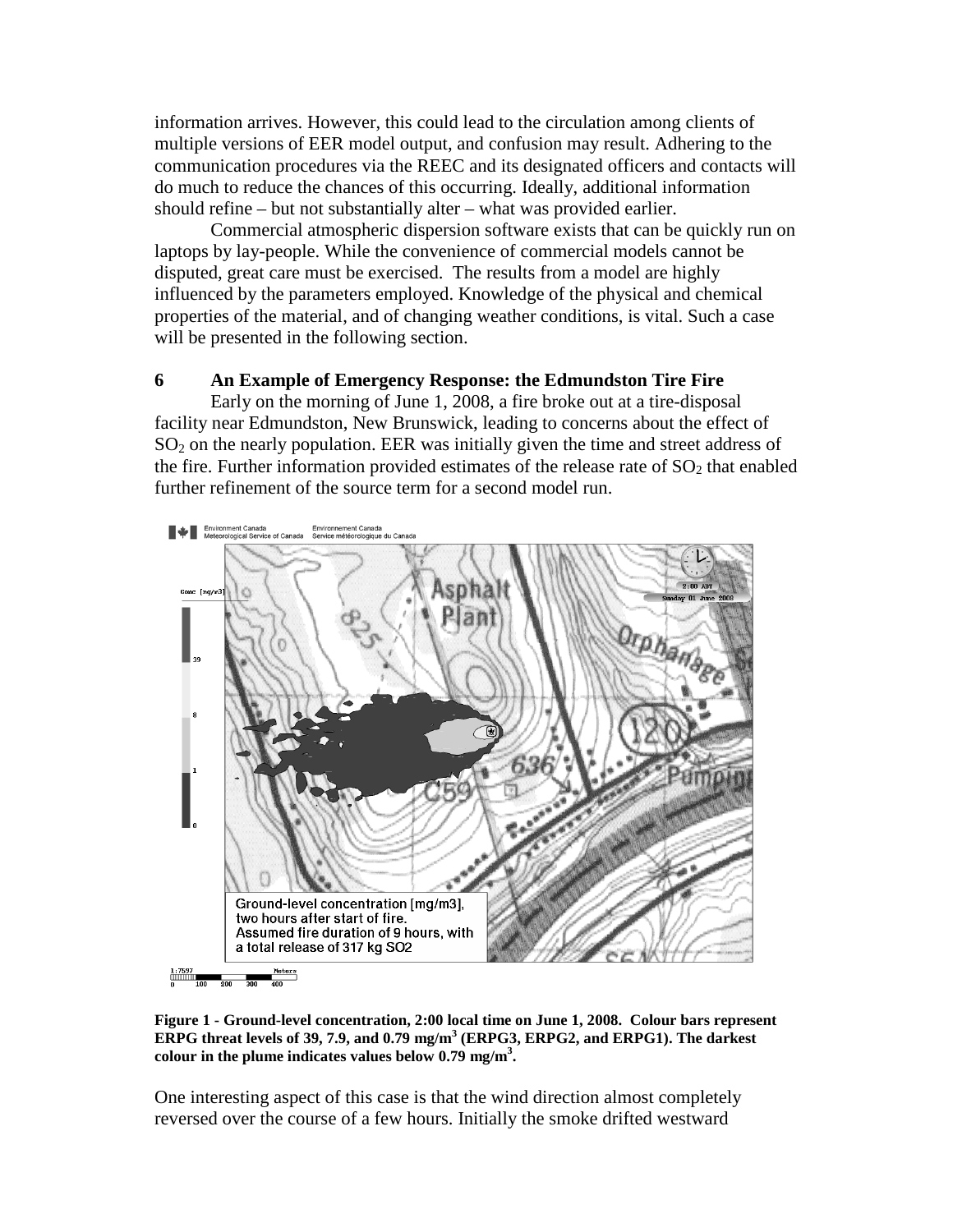information arrives. However, this could lead to the circulation among clients of multiple versions of EER model output, and confusion may result. Adhering to the communication procedures via the REEC and its designated officers and contacts will do much to reduce the chances of this occurring. Ideally, additional information should refine – but not substantially alter – what was provided earlier.

Commercial atmospheric dispersion software exists that can be quickly run on laptops by lay-people. While the convenience of commercial models cannot be disputed, great care must be exercised. The results from a model are highly influenced by the parameters employed. Knowledge of the physical and chemical properties of the material, and of changing weather conditions, is vital. Such a case will be presented in the following section.

#### **6 An Example of Emergency Response: the Edmundston Tire Fire**

Early on the morning of June 1, 2008, a fire broke out at a tire-disposal facility near Edmundston, New Brunswick, leading to concerns about the effect of  $SO<sub>2</sub>$  on the nearly population. EER was initially given the time and street address of the fire. Further information provided estimates of the release rate of  $SO<sub>2</sub>$  that enabled further refinement of the source term for a second model run.



**Figure 1 - Ground-level concentration, 2:00 local time on June 1, 2008. Colour bars represent ERPG threat levels of 39, 7.9, and 0.79 mg/m3 (ERPG3, ERPG2, and ERPG1). The darkest colour in the plume indicates values below 0.79 mg/m3 .**

One interesting aspect of this case is that the wind direction almost completely reversed over the course of a few hours. Initially the smoke drifted westward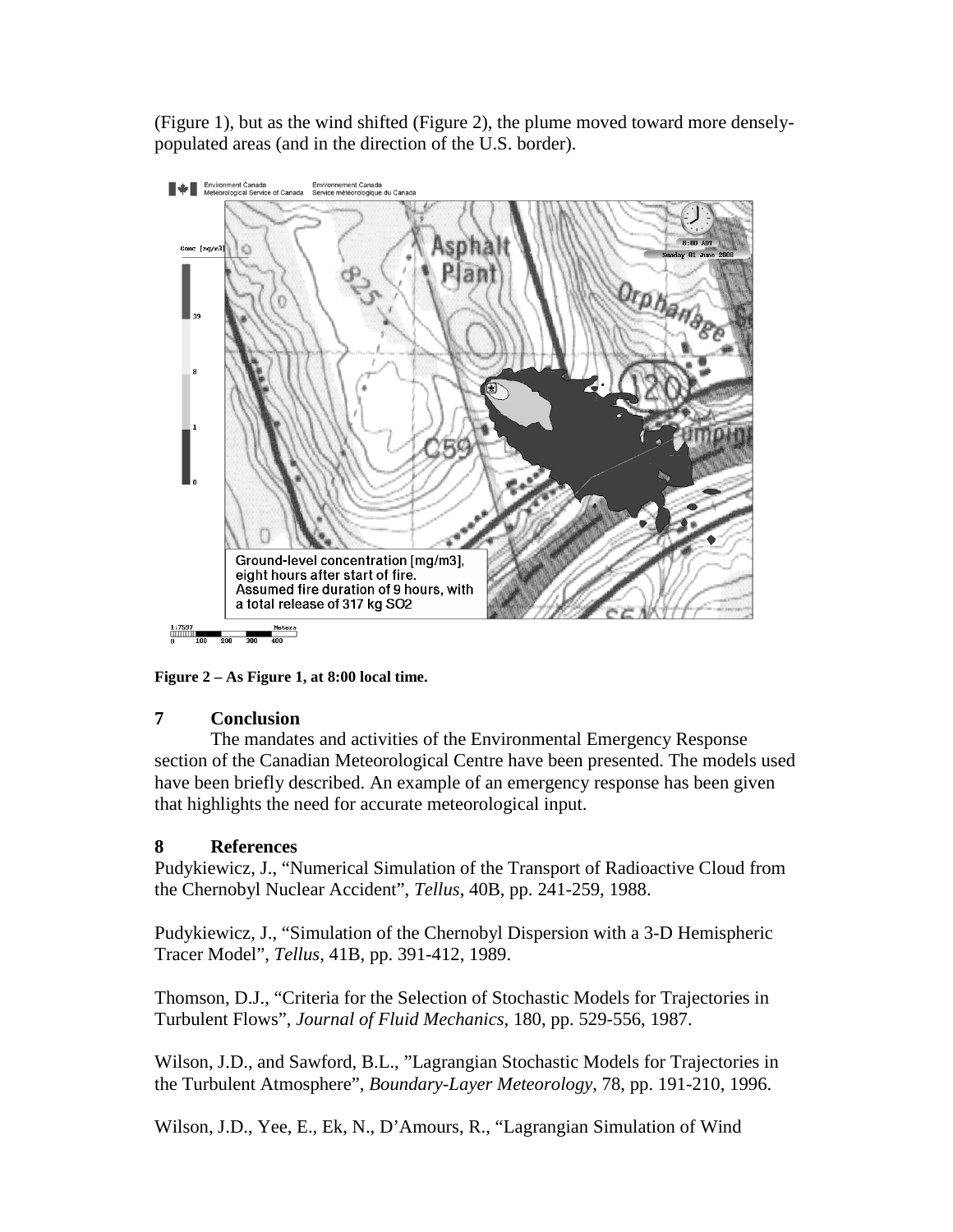(Figure 1), but as the wind shifted (Figure 2), the plume moved toward more denselypopulated areas (and in the direction of the U.S. border).



**Figure 2 – As Figure 1, at 8:00 local time.**

# **7 Conclusion**

The mandates and activities of the Environmental Emergency Response section of the Canadian Meteorological Centre have been presented. The models used have been briefly described. An example of an emergency response has been given that highlights the need for accurate meteorological input.

# **8 References**

Pudykiewicz, J., "Numerical Simulation of the Transport of Radioactive Cloud from the Chernobyl Nuclear Accident", *Tellus*, 40B, pp. 241-259, 1988.

Pudykiewicz, J., "Simulation of the Chernobyl Dispersion with a 3-D Hemispheric Tracer Model", *Tellus*, 41B, pp. 391-412, 1989.

Thomson, D.J., "Criteria for the Selection of Stochastic Models for Trajectories in Turbulent Flows", *Journal of Fluid Mechanics*, 180, pp. 529-556, 1987.

Wilson, J.D., and Sawford, B.L., "Lagrangian Stochastic Models for Trajectories in the Turbulent Atmosphere", *Boundary-Layer Meteorology*, 78, pp. 191-210, 1996.

Wilson, J.D., Yee, E., Ek, N., D'Amours, R., "Lagrangian Simulation of Wind